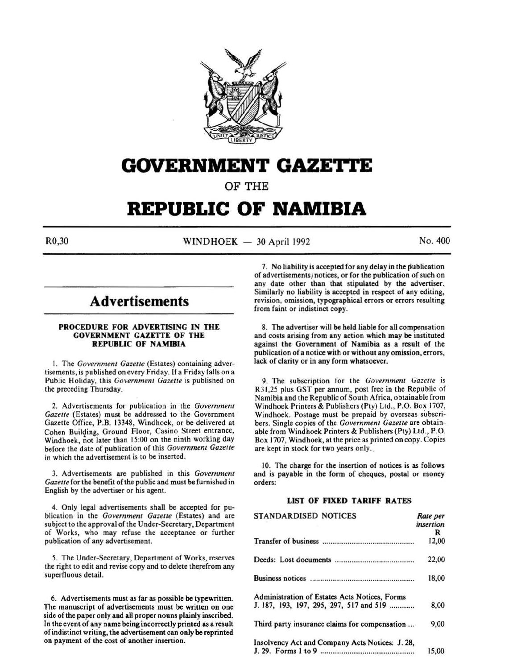

# **GOVERNMENT GAZETTE**

OF THE

# **REPUBLIC OF NAMIBIA**

 $\text{WINDHOEK} = 30 \text{ April } 1992$  No. 400

# **Advertisements**

# PROCEDURE FOR ADVERTISING IN THE GOVERNMENT GAZETTE OF THE REPUBLIC OF NAMIBIA

I. The *Government Gazette* (Estates) containing advertisements, is published on every Friday. If a Friday falls on a Public Holiday, this *Government Gazette* is published on the preceding Thursday.

2. Advertisements for publication in the *Government Gazette* (Estates) must be addressed to the Government Gazette Office, P.B. 13348, Windhoek, or be delivered at Cohen Building, Ground Floor, Casino Street entrance, Windhoek, not later than 15:00 on the ninth working day before the date of publication of this *Government Gazette*  in which the advertisement is to be inserted.

3. Advertisements are published in this *Government Gazette* for the benefit of the public and must be furnished in English by the advertiser or his agent.

4. Only legal advertisements shall be accepted for publication in the *Government Gazette* (Estates) and are subject to the approval of the Under-Secretary, Department of Works, who may refuse the acceptance or further publication of any advertisement.

5. The Under-Secretary, Department of Works, reserves the right to edit and revise copy and to delete therefrom any superfluous detail.

6. Advertisements must as far as possible be typewritten. The manuscript of advertisements must be written on one side of the paper only and all proper nouns plainly inscribed. In the event of any name being incorrectly printed as a result of indistinct writing, the advertisement can only be reprinted on payment of the cost of another insertion.

7. No liability is accepted for any delay in the publication of advertisements/ notices, or for the publication of such on any date other than that stipulated by the advertiser. Similarly no liability is accepted in respect of any editing, revision, omission, typographical errors or errors resulting from faint or indistinct copy.

8. The advertiser will be held liable for all compensation and costs arising from any action which may be instituted against the Government of Namibia as a result of the publication of a notice with or without any omission, errors, lack of clarity or in any form whatsoever.

9. The subscription for the *Government Gazette* is R31 ,25 plus GST per annum, post free in the Republic of Namibia and the Republic of South Africa, obtainable from Windhoek Printers & Publishers (Pty) Ltd., P.O. Box 1707, Windhoek. Postage must be prepaid by overseas subscribers. Single copies of the *Government Gazette* are obtainable from Windhoek Printers & Publishers (Pty) Ltd., P.O. Box 1707, Windhoek, at the price as printed on copy. Copies are kept in stock for two years only.

10. The charge for the insertion of notices is as follows and is payable in the form of cheques, postal or money orders:

# LIST OF FIXED TARIFF RATES

| <b>STANDARDISED NOTICES</b>                     | Rate per<br>insertion |
|-------------------------------------------------|-----------------------|
|                                                 | R                     |
|                                                 | 12,00                 |
|                                                 | 22,00                 |
|                                                 | 18,00                 |
| Administration of Estates Acts Notices, Forms   |                       |
| J. 187, 193, 197, 295, 297, 517 and 519         | 8,00                  |
| Third party insurance claims for compensation   | 9,00                  |
| Insolvency Act and Company Acts Notices: J. 28, |                       |
|                                                 | 15,00                 |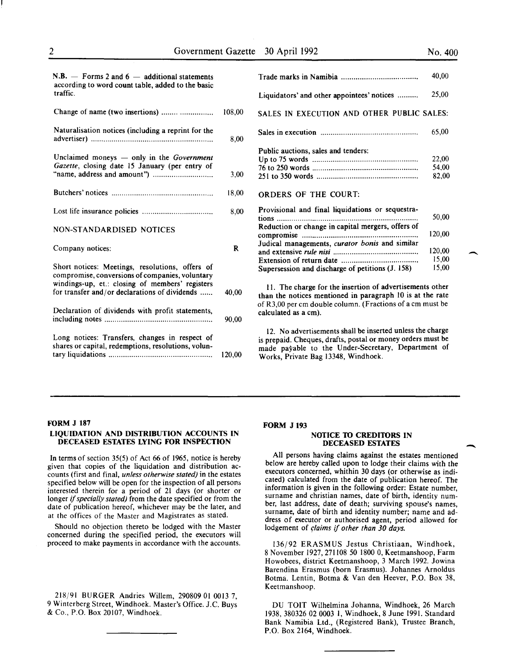15,00

-

 $\overline{\phantom{a}}$ 

| $N.B.$ - Forms 2 and 6 - additional statements<br>according to word count table, added to the basic<br>traffic. |        |
|-----------------------------------------------------------------------------------------------------------------|--------|
|                                                                                                                 | 108.00 |

| Naturalisation notices (including a reprint for the                                                                                                                                                    | 8,00   |
|--------------------------------------------------------------------------------------------------------------------------------------------------------------------------------------------------------|--------|
| Unclaimed moneys $-$ only in the Government<br>Gazette, closing date 15 January (per entry of                                                                                                          | 3,00   |
|                                                                                                                                                                                                        | 18,00  |
|                                                                                                                                                                                                        | 8,00   |
| <b>NON-STANDARDISED NOTICES</b>                                                                                                                                                                        |        |
| Company notices:                                                                                                                                                                                       | R      |
| Short notices: Meetings, resolutions, offers of<br>compromise, conversions of companies, voluntary<br>windings-up, et.: closing of members' registers<br>for transfer and/or declarations of dividends | 40,00  |
| Declaration of dividends with profit statements,                                                                                                                                                       | 90,00  |
| Long notices: Transfers, changes in respect of<br>shares or capital, redemptions, resolutions, volun-                                                                                                  | 120.00 |

|                                                   | 40,00  |  |
|---------------------------------------------------|--------|--|
| Liquidators' and other appointees' notices        | 25,00  |  |
| SALES IN EXECUTION AND OTHER PUBLIC SALES:        |        |  |
|                                                   | 65,00  |  |
| Public auctions, sales and tenders:               |        |  |
|                                                   | 22,00  |  |
|                                                   | 54.00  |  |
|                                                   | 82,00  |  |
| <b>ORDERS OF THE COURT:</b>                       |        |  |
| Provisional and final liquidations or sequestra-  |        |  |
|                                                   | 50,00  |  |
| Reduction or change in capital mergers, offers of |        |  |
|                                                   | 120.00 |  |
| Judical managements, curator bonis and similar    |        |  |
|                                                   | 120,00 |  |
|                                                   | 15,00  |  |
|                                                   |        |  |

II. The charge for the insertion of advertisements other than the notices mentioned in paragraph 10 is at the rate of R3,00 per em double column. (Fractions of a em must be calculated as a em).

Supersession and discharge of petitions (J. 158)

12. No advertisements shall be inserted unless the charge is prepaid. Cheques, drafts, postal or money orders must be made payable to the Under-Secretary, Department of Works, Private Bag 13348, Windhoek.

#### FORM J 187

### LIQUIDATION AND DISTRIBUTION ACCOUNTS IN DECEASED ESTATES LYING FOR INSPECTION

In terms of section 35(5) of Act 66 of 1965, notice is hereby given that copies of the liquidation and distribution accounts (first and final, *unless otherwise stated)* in the estates specified below will be open for the inspection of all persons interested therein for a period of 21 days (or shorter or longer if *specially stated)* from the date specified or from the date of publication hereof, whichever may be the later, and at the offices of the Master and Magistrates as stated.

Should no objection thereto be lodged with the Master concerned during the specified period, the executors will proceed to make payments in accordance with the accounts.

218/91 BURGER Andries Willem, 290809 01 0013 7, 9 Winterberg Street, Windhoek. Master's Office. J.C. Buys & Co., P.O. Box 20107, Windhoek.

#### FORM J 193

# NOTICE TO CREDITORS IN DECEASED ESTATES

All persons having claims against the estates mentioned below are hereby called upon to lodge their claims with the executors concerned, whithin 30 days (or otherwise as indicated) calculated from the date of publication hereof. The information is given in the following order: Estate number, surname and christian names, date of birth, identity number, last address, date of death; surviving spouse's names, surname, date of birth and identity number; name and address of executor or authorised agent, period allowed for lodgement of *claims if other than 30 days.* 

136/92 ERASMUS Jestus Christiaan, Windhoek, 8 November 1927,271108 50 1800 0, Keetmanshoop, Farm Howobees, district Keetmanshoop, 3 March 1992. Jowina Barendina Erasmus (born Erasmus). Johannes Arnoldus Botma. Lentin, Botma & Van den Heever, P.O. Box 38, Keetmanshoop.

DU TOIT Wilhelmina Johanna, Windhoek, 26 March 1938, 380326 02 0003 I, Windhoek, 8 June 1991. Standard Bank Namibia Ltd., (Registered Bank), Trustee Branch, P.O. Box 2164, Windhoek.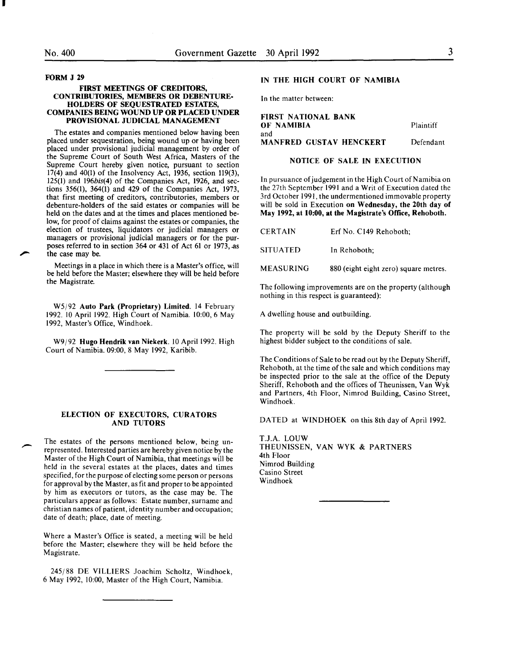I

#### FORM J 29

-

### FIRST MEETINGS OF CREDITORS, CONTRIBUTORIES, MEMBERS OR DEBENTURE-HOLDERS OF SEQUESTRATED ESTATES, COMPANIES BEING WOUND UP OR PLACED UNDER PROVISIONAL JUDICIAL MANAGEMENT

The estates and companies mentioned below having been placed under sequestration, being wound up or having been placed under provisional judicial management by order of the Supreme Court of South West Africa, Masters of the Supreme Court hereby given notice, pursuant to section 17(4) and 40(1) of the Insolvency Act, 1936, section 119(3), 125(1) and 196bis(4) of the Companies Act, 1926, and sections 356(1), 364(1) and 429 of the Companies Act, 1973, that first meeting of creditors, contributories, members or debenture-holders of the said estates or companies will be held on the dates and at the times and places mentioned below, for proof of claims against the estates or companies, the election of trustees, liquidators or judicial managers or managers or provisional judicial managers or for the purposes referred to in section 364 or 431 of Act 61 or 1973, as the case may be.

Meetings in a place in which there is a Master's office, will be held before the Master; elsewhere they will be held before the Magistrate.

W5/92 Auto Park (Proprietary) Limited. 14 February 1992. 10 April 1992. High Court of Namibia. 10:00, 6 May 1992, Master's Office, Windhoek.

W9/92 Hugo Hendrik van Niekerk. 10 April 1992. High Court of Namibia. 09:00, 8 May 1992, Karibib.

### ELECTION OF EXECUTORS, CURATORS AND TUTORS

The estates of the persons mentioned below, being unrepresented. Interested parties are hereby given notice by the Master of the High Court of Namibia, that meetings will be held in the several estates at the places, dates and times specified, for the purpose of electing some person or persons for approval by the Master, as fit and proper to be appointed by him as executors or tutors, as the case may be. The particulars appear as follows: Estate number, surname and christian names of patient, identity number and occupation; date of death; place, date of meeting.

Where a Master's Office is seated, a meeting will be held before the Master; elsewhere they will be held before the Magistrate.

245/88 DE VILLIERS Joachim Scholtz, Windhoek, 6 May 1992, 10:00, Master of the High Court, Namibia.

# IN THE HIGH COURT OF NAMIBIA

In the matter between:

FIRST NATIONAL BANK OF NAMIBIA Plaintiff and MANFRED GUSTAV HENCKERT Defendant

#### NOTICE OF SALE IN EXECUTION

In pursuance of judgement in the High Court of Namibia on the 27th September 1991 and a Writ of Execution dated the 3rd October 1991, the undermentioned immovable property will be sold in Execution on Wednesday, the 20th day of May 1992, at 10:00, at the Magistrate's Office, Rehoboth.

| <b>CERTAIN</b>   | Erf No. C149 Rehoboth;                |
|------------------|---------------------------------------|
| <b>SITUATED</b>  | In Rehoboth:                          |
| <b>MEASURING</b> | 880 (eight eight zero) square metres. |

The following improvements are on the property (although nothing in this respect is guaranteed):

A dwelling house and outbuilding.

The property will be sold by the Deputy Sheriff to the highest bidder subject to the conditions of sale.

The Conditions of Sale to be read out by the Deputy Sheriff, Rehoboth, at the time of the sale and which conditions may be inspected prior to the sale at the office of the Deputy Sheriff, Rehoboth and the offices of Theunissen, Van Wyk and Partners, 4th Floor, Nimrod Building, Casino Street, Windhoek.

DATED at WINDHOEK on this 8th day of April 1992.

T.J.A. LOUW THEUNISSEN, VAN WYK & PARTNERS 4th Floor Nimrod Building Casino Street Windhoek